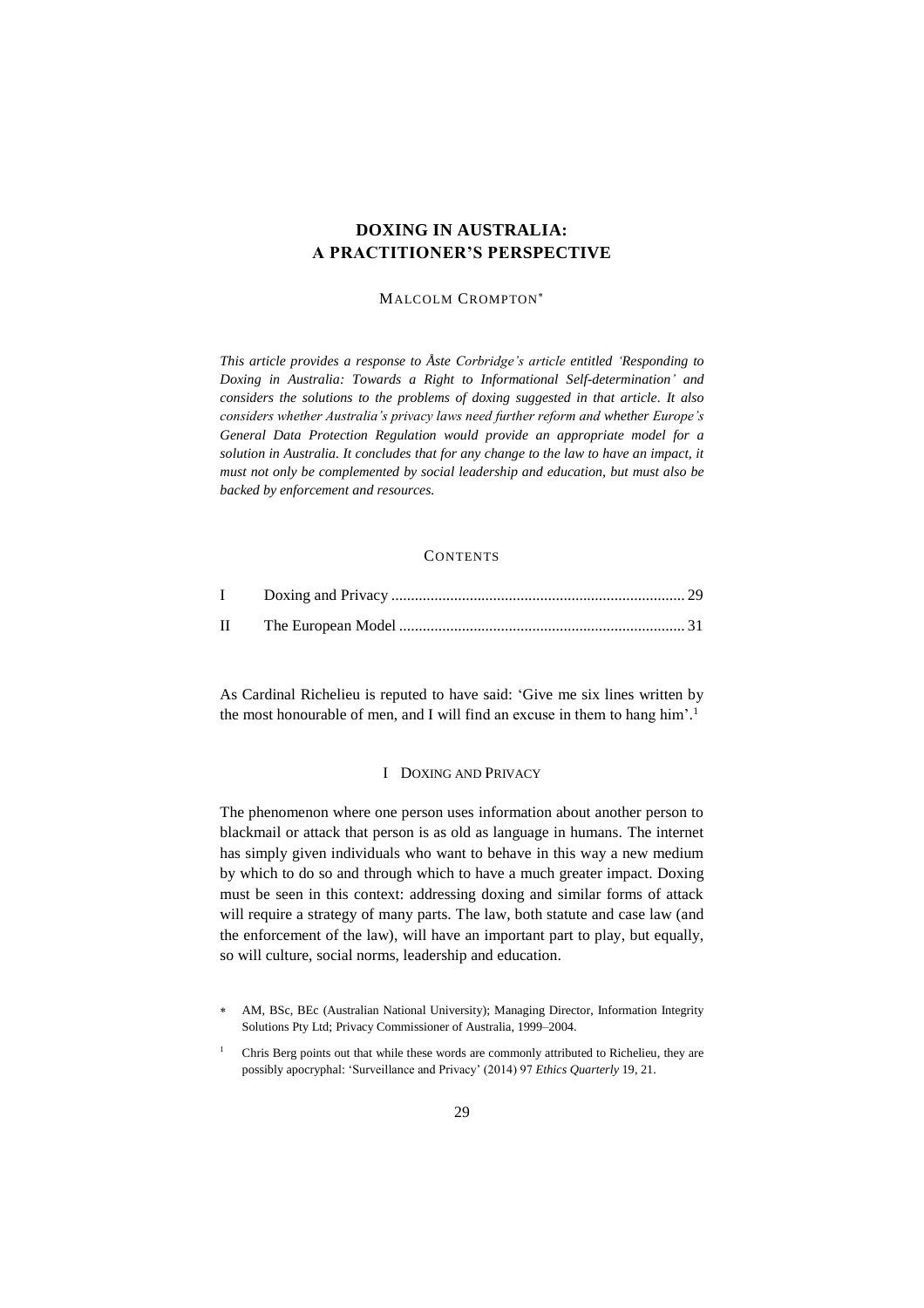# **DOXING IN AUSTRALIA: A PRACTITIONER'S PERSPECTIVE**

#### MALCOLM CROMPTON

*This article provides a response to Åste Corbridge's article entitled 'Responding to Doxing in Australia: Towards a Right to Informational Self-determination' and considers the solutions to the problems of doxing suggested in that article. It also considers whether Australia's privacy laws need further reform and whether Europe's General Data Protection Regulation would provide an appropriate model for a solution in Australia. It concludes that for any change to the law to have an impact, it must not only be complemented by social leadership and education, but must also be backed by enforcement and resources.*

### **CONTENTS**

<span id="page-0-0"></span>As Cardinal Richelieu is reputed to have said: 'Give me six lines written by the most honourable of men, and I will find an excuse in them to hang him'. 1

## I DOXING AND PRIVACY

The phenomenon where one person uses information about another person to blackmail or attack that person is as old as language in humans. The internet has simply given individuals who want to behave in this way a new medium by which to do so and through which to have a much greater impact. Doxing must be seen in this context: addressing doxing and similar forms of attack will require a strategy of many parts. The law, both statute and case law (and the enforcement of the law), will have an important part to play, but equally, so will culture, social norms, leadership and education.

AM, BSc, BEc (Australian National University); Managing Director, Information Integrity Solutions Pty Ltd; Privacy Commissioner of Australia, 1999–2004.

<sup>1</sup> Chris Berg points out that while these words are commonly attributed to Richelieu, they are possibly apocryphal: 'Surveillance and Privacy' (2014) 97 *Ethics Quarterly* 19, 21.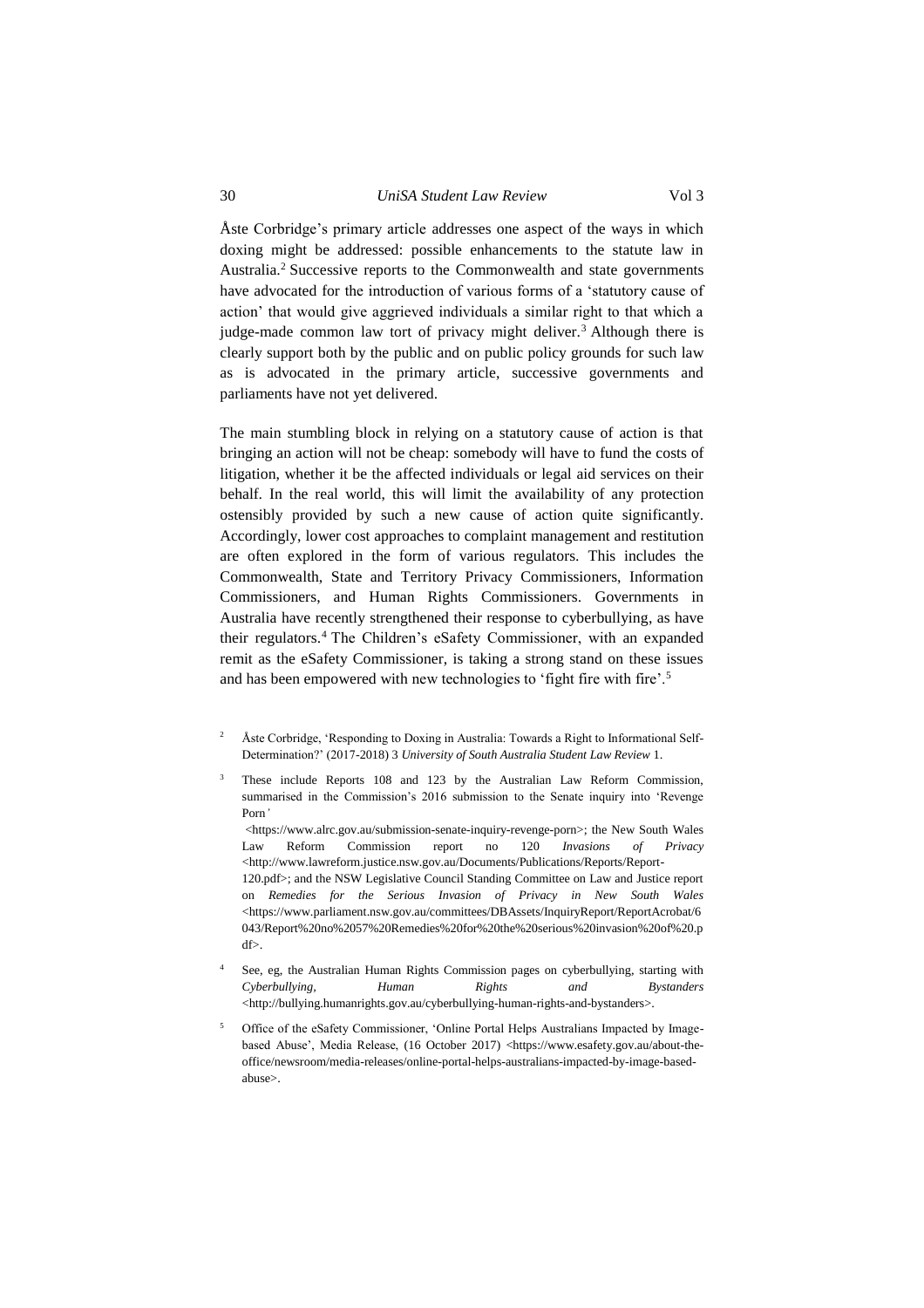Åste Corbridge's primary article addresses one aspect of the ways in which doxing might be addressed: possible enhancements to the statute law in Australia.<sup>2</sup> Successive reports to the Commonwealth and state governments have advocated for the introduction of various forms of a 'statutory cause of action' that would give aggrieved individuals a similar right to that which a judge-made common law tort of privacy might deliver.<sup>3</sup> Although there is clearly support both by the public and on public policy grounds for such law as is advocated in the primary article, successive governments and parliaments have not yet delivered.

The main stumbling block in relying on a statutory cause of action is that bringing an action will not be cheap: somebody will have to fund the costs of litigation, whether it be the affected individuals or legal aid services on their behalf. In the real world, this will limit the availability of any protection ostensibly provided by such a new cause of action quite significantly. Accordingly, lower cost approaches to complaint management and restitution are often explored in the form of various regulators. This includes the Commonwealth, State and Territory Privacy Commissioners, Information Commissioners, and Human Rights Commissioners. Governments in Australia have recently strengthened their response to cyberbullying, as have their regulators.<sup>4</sup> The Children's eSafety Commissioner, with an expanded remit as the eSafety Commissioner, is taking a strong stand on these issues and has been empowered with new technologies to 'fight fire with fire'.<sup>5</sup>

- <sup>2</sup> Åste Corbridge, 'Responding to Doxing in Australia: Towards a Right to Informational Self-Determination?' (2017-2018) 3 *University of South Australia Student Law Review* 1.
- <sup>3</sup> These include Reports 108 and 123 by the Australian Law Reform Commission, summarised in the Commission's 2016 submission to the Senate inquiry into 'Revenge Porn*'* <https://www.alrc.gov.au/submission-senate-inquiry-revenge-porn>; the New South Wales Law Reform Commission report no 120 *Invasions of Privacy* <http://www.lawreform.justice.nsw.gov.au/Documents/Publications/Reports/Report-120.pdf>; and the NSW Legislative Council Standing Committee on Law and Justice report on *Remedies for the Serious Invasion of Privacy in New South Wales* <https://www.parliament.nsw.gov.au/committees/DBAssets/InquiryReport/ReportAcrobat/6 043/Report%20no%2057%20Remedies%20for%20the%20serious%20invasion%20of%20.p df>.
- See, eg, the Australian Human Rights Commission pages on cyberbullying, starting with *Cyberbullying, Human Rights and Bystanders* <http://bullying.humanrights.gov.au/cyberbullying-human-rights-and-bystanders>.
- <sup>5</sup> Office of the eSafety Commissioner, 'Online Portal Helps Australians Impacted by Imagebased Abuse', Media Release, (16 October 2017) <https://www.esafety.gov.au/about-theoffice/newsroom/media-releases/online-portal-helps-australians-impacted-by-image-basedabuse>.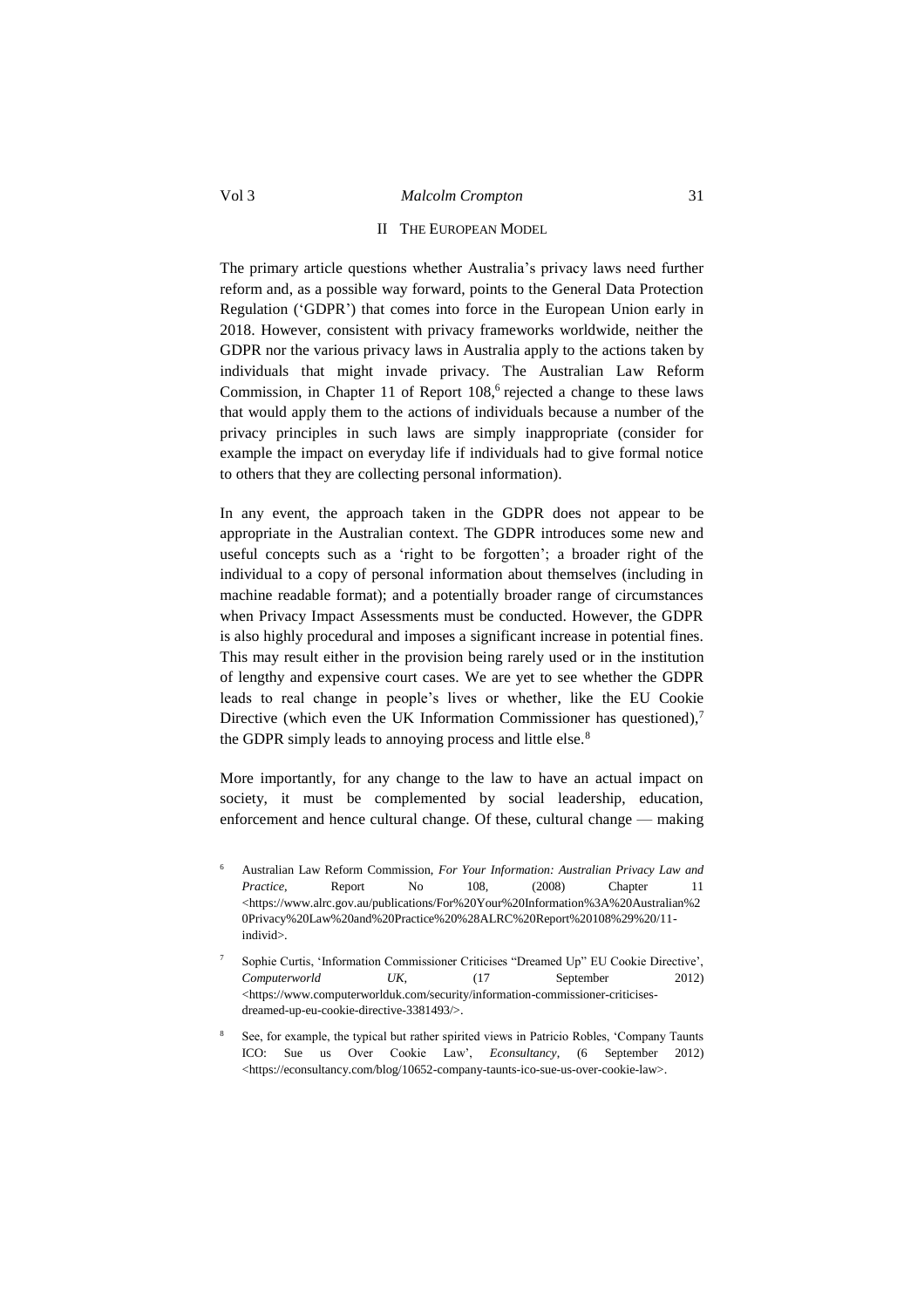#### II THE EUROPEAN MODEL

<span id="page-2-0"></span>The primary article questions whether Australia's privacy laws need further reform and, as a possible way forward, points to the General Data Protection Regulation ('GDPR') that comes into force in the European Union early in 2018. However, consistent with privacy frameworks worldwide, neither the GDPR nor the various privacy laws in Australia apply to the actions taken by individuals that might invade privacy. The Australian Law Reform Commission, in Chapter 11 of Report 108,<sup>6</sup> rejected a change to these laws that would apply them to the actions of individuals because a number of the privacy principles in such laws are simply inappropriate (consider for example the impact on everyday life if individuals had to give formal notice to others that they are collecting personal information).

In any event, the approach taken in the GDPR does not appear to be appropriate in the Australian context. The GDPR introduces some new and useful concepts such as a 'right to be forgotten'; a broader right of the individual to a copy of personal information about themselves (including in machine readable format); and a potentially broader range of circumstances when Privacy Impact Assessments must be conducted. However, the GDPR is also highly procedural and imposes a significant increase in potential fines. This may result either in the provision being rarely used or in the institution of lengthy and expensive court cases. We are yet to see whether the GDPR leads to real change in people's lives or whether, like the EU Cookie Directive (which even the UK Information Commissioner has questioned), $7$ the GDPR simply leads to annoying process and little else.<sup>8</sup>

More importantly, for any change to the law to have an actual impact on society, it must be complemented by social leadership, education, enforcement and hence cultural change. Of these, cultural change — making

- <sup>6</sup> Australian Law Reform Commission, *For Your Information: Australian Privacy Law and Practice*, Report No 108, (2008) Chapter 11 <https://www.alrc.gov.au/publications/For%20Your%20Information%3A%20Australian%2 0Privacy%20Law%20and%20Practice%20%28ALRC%20Report%20108%29%20/11 individ>.
- <sup>7</sup> Sophie Curtis, 'Information Commissioner Criticises "Dreamed Up" EU Cookie Directive', *Computerworld UK*, (17 September 2012) <https://www.computerworlduk.com/security/information-commissioner-criticisesdreamed-up-eu-cookie-directive-3381493/>.
- <sup>8</sup> See, for example, the typical but rather spirited views in Patricio Robles, 'Company Taunts ICO: Sue us Over Cookie Law', *Econsultancy*, (6 September 2012) <https://econsultancy.com/blog/10652-company-taunts-ico-sue-us-over-cookie-law>.